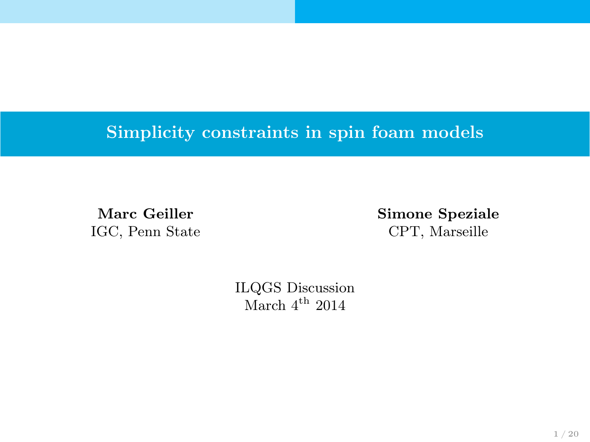# Simplicity constraints in spin foam models

IGC, Penn State CPT, Marseille

Marc Geiller Simone Speziale

ILQGS Discussion March  $4^{\text{th}}$  2014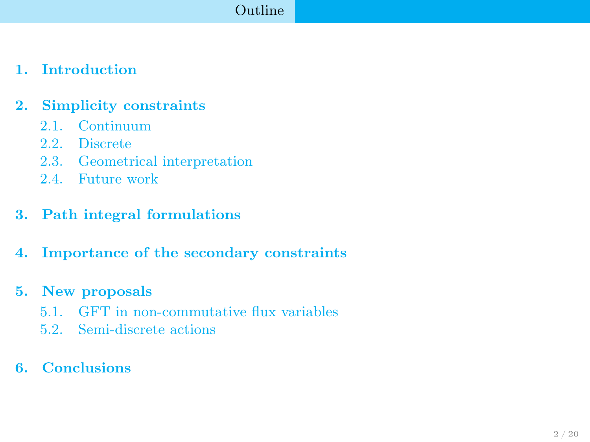## [Outline](#page-1-0)

## 1. [Introduction](#page-2-0)

### 2. [Simplicity constraints](#page-4-0)

- 2.1. [Continuum](#page-4-0)
- 2.2. [Discrete](#page-5-0)
- 2.3. [Geometrical interpretation](#page-7-0)
- 2.4. [Future work](#page-9-0)

### 3. [Path integral formulations](#page-10-0)

4. [Importance of the secondary constraints](#page-12-0)

### 5. [New proposals](#page-15-0)

- 5.1. [GFT in non-commutative flux variables](#page-15-0)
- <span id="page-1-0"></span>5.2. [Semi-discrete actions](#page-18-0)

### 6. [Conclusions](#page-19-0)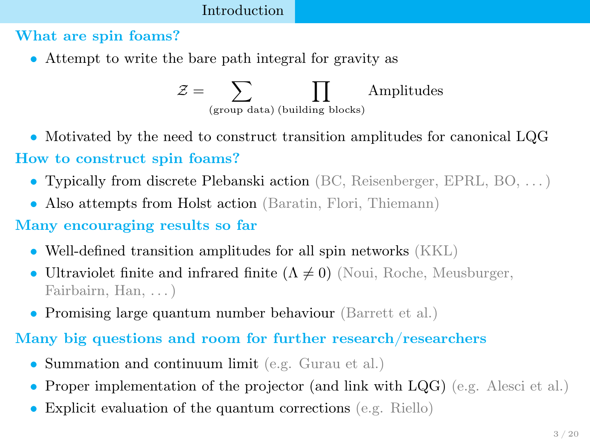## [Introduction](#page-2-0)

### What are spin foams?

• Attempt to write the bare path integral for gravity as

<span id="page-2-0"></span>
$$
\mathcal{Z} = \sum_{\text{(group data) (building blocks)}} \prod_{\text{Almplitudes}}
$$

• Motivated by the need to construct transition amplitudes for canonical LQG

## How to construct spin foams?

- Typically from discrete Plebanski action (BC, Reisenberger, EPRL, BO, . . . )
- Also attempts from Holst action (Baratin, Flori, Thiemann)

## Many encouraging results so far

- Well-defined transition amplitudes for all spin networks (KKL)
- Ultraviolet finite and infrared finite  $(\Lambda \neq 0)$  (Noui, Roche, Meusburger, Fairbairn, Han, . . . )
- Promising large quantum number behaviour (Barrett et al.)

# Many big questions and room for further research/researchers

- Summation and continuum limit (e.g. Gurau et al.)
- Proper implementation of the projector (and link with LQG) (e.g. Alesci et al.)
- Explicit evaluation of the quantum corrections (e.g. Riello)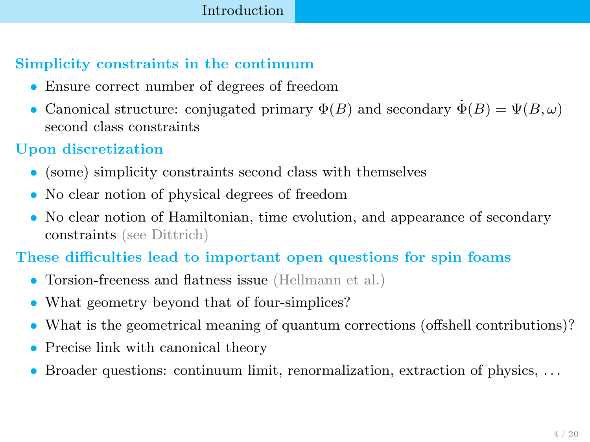### [Introduction](#page-3-0)

## Simplicity constraints in the continuum

- Ensure correct number of degrees of freedom
- Canonical structure: conjugated primary  $\Phi(B)$  and secondary  $\Phi(B) = \Psi(B, \omega)$ second class constraints

## Upon discretization

- (some) simplicity constraints second class with themselves
- No clear notion of physical degrees of freedom
- No clear notion of Hamiltonian, time evolution, and appearance of secondary constraints (see Dittrich)

## These difficulties lead to important open questions for spin foams

- Torsion-freeness and flatness issue (Hellmann et al.)
- What geometry beyond that of four-simplices?
- What is the geometrical meaning of quantum corrections (offshell contributions)?
- Precise link with canonical theory
- <span id="page-3-0"></span>• Broader questions: continuum limit, renormalization, extraction of physics, . . .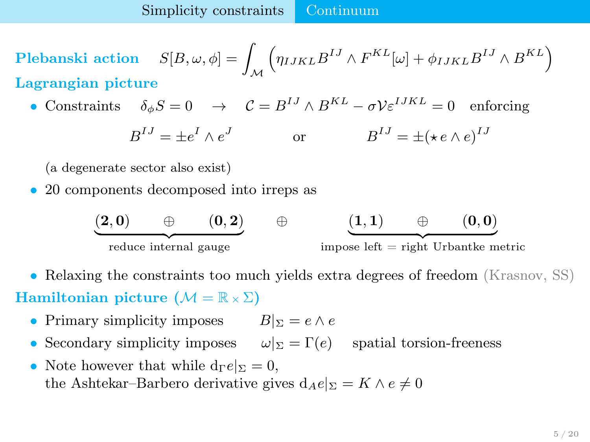Plebanski action  $S[B,\omega,\phi] = \int_{\mathcal{M}}$  $\left(\eta_{IJKL}B^{IJ}\wedge F^{KL}[\omega]+\phi_{IJKL}B^{IJ}\wedge B^{KL}\right)$ Lagrangian picture

• Constraints  $\delta_{\phi} S = 0 \rightarrow \mathcal{C} = B^{IJ} \wedge B^{KL} - \sigma \mathcal{V} \varepsilon^{IJKL} = 0$  enforcing

$$
B^{IJ} = \pm e^I \wedge e^J \qquad \text{or} \qquad B^{IJ} = \pm (\star e \wedge e)^{IJ}
$$

(a degenerate sector also exist)

• 20 components decomposed into irreps as

<span id="page-4-0"></span>

- Relaxing the constraints too much yields extra degrees of freedom (Krasnov, SS) Hamiltonian picture  $(M = \mathbb{R} \times \Sigma)$ 
	- Primary simplicity imposes  $B|_{\Sigma} = e \wedge e$
	- Secondary simplicity imposes  $\omega|_{\Sigma} = \Gamma(e)$  spatial torsion-freeness
	- Note however that while  $d_{\Gamma}e|_{\Sigma}=0$ , the Ashtekar–Barbero derivative gives  $d_Ae|_{\Sigma} = K \wedge e \neq 0$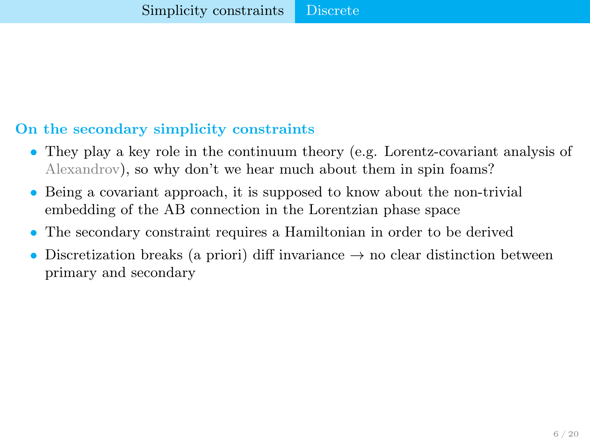## On the secondary simplicity constraints

- They play a key role in the continuum theory (e.g. Lorentz-covariant analysis of Alexandrov), so why don't we hear much about them in spin foams?
- Being a covariant approach, it is supposed to know about the non-trivial embedding of the AB connection in the Lorentzian phase space
- The secondary constraint requires a Hamiltonian in order to be derived
- <span id="page-5-0"></span>Discretization breaks (a priori) diff invariance  $\rightarrow$  no clear distinction between primary and secondary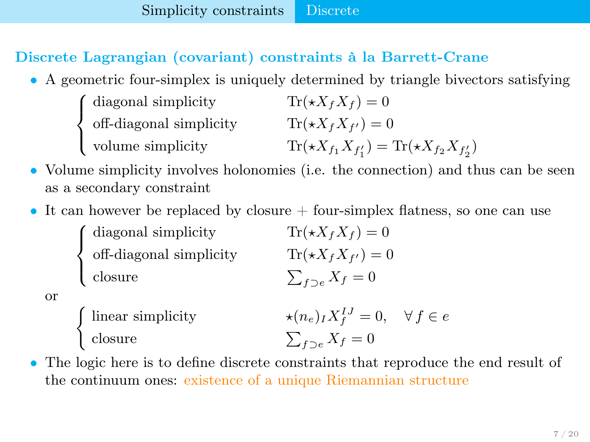## Discrete Lagrangian (covariant) constraints à la Barrett-Crane

• A geometric four-simplex is uniquely determined by triangle bivectors satisfying

| (diagonal simplicity)             | $\text{Tr}(\star X_f X_f) = 0$                              |
|-----------------------------------|-------------------------------------------------------------|
| $\langle$ off-diagonal simplicity | $\text{Tr}(\star X_f X_{f'})=0$                             |
| volume simplicity                 | $\text{Tr}(*X_{f_1}X_{f'_1}) = \text{Tr}(*X_{f_2}X_{f'_2})$ |

- Volume simplicity involves holonomies (i.e. the connection) and thus can be seen as a secondary constraint
- It can however be replaced by closure  $+$  four-simplex flatness, so one can use

 $\sqrt{ }$  $\int$  $\mathcal{L}$ diagonal simplicity  $\text{Tr}(\star X_f X_f) = 0$ off-diagonal simplicity  $\text{Tr}(\star X_f X_{f'}) = 0$ closure  $\sum_{f\supset e} X_f = 0$ 

<span id="page-6-0"></span>

or

- $\text{linear simplicity}$   $\star (n_e)_I X_I^{IJ} = 0, \quad \forall f \in e$ closure  $\sum_{f\supset e} X_f = 0$
- The logic here is to define discrete constraints that reproduce the end result of the continuum ones: existence of a unique Riemannian structure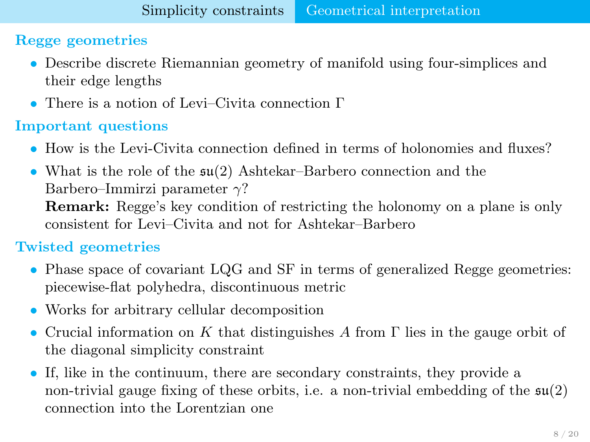# Regge geometries

- Describe discrete Riemannian geometry of manifold using four-simplices and their edge lengths
- There is a notion of Levi–Civita connection Γ

# Important questions

- How is the Levi-Civita connection defined in terms of holonomies and fluxes?
- What is the role of the su(2) Ashtekar–Barbero connection and the Barbero–Immirzi parameter  $\gamma$ ? Remark: Regge's key condition of restricting the holonomy on a plane is only consistent for Levi–Civita and not for Ashtekar–Barbero

# Twisted geometries

- Phase space of covariant LQG and SF in terms of generalized Regge geometries: piecewise-flat polyhedra, discontinuous metric
- Works for arbitrary cellular decomposition
- Crucial information on K that distinguishes A from  $\Gamma$  lies in the gauge orbit of the diagonal simplicity constraint
- <span id="page-7-0"></span>• If, like in the continuum, there are secondary constraints, they provide a non-trivial gauge fixing of these orbits, i.e. a non-trivial embedding of the  $\mathfrak{su}(2)$ connection into the Lorentzian one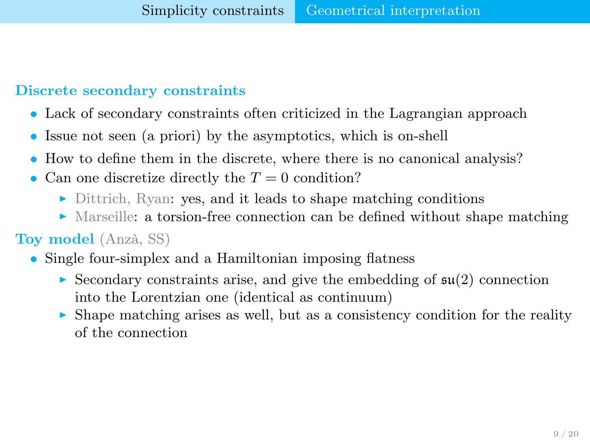# Discrete secondary constraints

- Lack of secondary constraints often criticized in the Lagrangian approach
- Issue not seen (a priori) by the asymptotics, which is on-shell
- How to define them in the discrete, where there is no canonical analysis?
- Can one discretize directly the  $T = 0$  condition?
	- $\triangleright$  Dittrich, Ryan: yes, and it leads to shape matching conditions
	- $\blacktriangleright$  Marseille: a torsion-free connection can be defined without shape matching

# Toy model (Anzà, SS)

- <span id="page-8-0"></span>• Single four-simplex and a Hamiltonian imposing flatness
	- $\triangleright$  Secondary constraints arise, and give the embedding of  $\mathfrak{su}(2)$  connection into the Lorentzian one (identical as continuum)
	- $\triangleright$  Shape matching arises as well, but as a consistency condition for the reality of the connection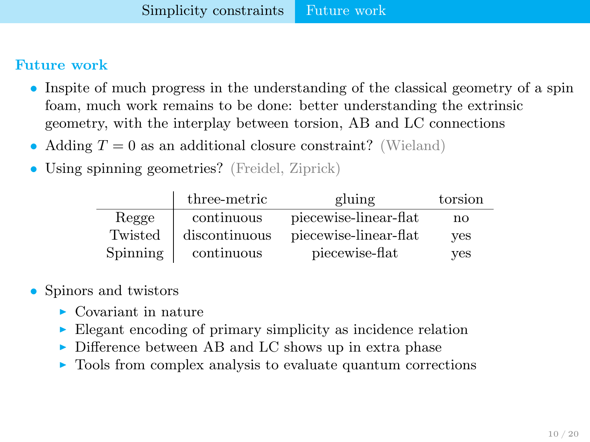#### Future work

- Inspite of much progress in the understanding of the classical geometry of a spin foam, much work remains to be done: better understanding the extrinsic geometry, with the interplay between torsion, AB and LC connections
- Adding  $T = 0$  as an additional closure constraint? (Wieland)
- Using spinning geometries? (Freidel, Ziprick)

<span id="page-9-0"></span>

|                 | three-metric  | gluing                | torsion |
|-----------------|---------------|-----------------------|---------|
| Regge           | continuous    | piecewise-linear-flat | no      |
| Twisted         | discontinuous | piecewise-linear-flat | ves     |
| <b>Spinning</b> | continuous    | piecewise-flat        | ves     |

- Spinors and twistors
	- $\blacktriangleright$  Covariant in nature
	- $\blacktriangleright$  Elegant encoding of primary simplicity as incidence relation
	- $\triangleright$  Difference between AB and LC shows up in extra phase
	- $\triangleright$  Tools from complex analysis to evaluate quantum corrections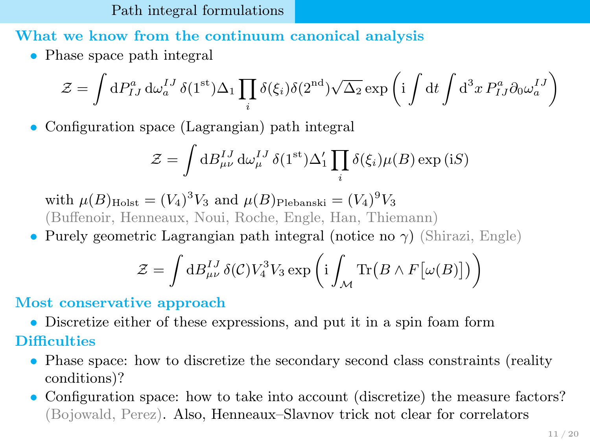[Path integral formulations](#page-10-0)

What we know from the continuum canonical analysis

• Phase space path integral

$$
\mathcal{Z} = \int dP_{IJ}^a d\omega_a^{IJ} \, \delta(1^{\text{st}}) \Delta_1 \prod_i \delta(\xi_i) \delta(2^{\text{nd}}) \sqrt{\Delta_2} \exp\left(i \int dt \int d^3x P_{IJ}^a \partial_0 \omega_a^{IJ}\right)
$$

• Configuration space (Lagrangian) path integral

$$
\mathcal{Z} = \int dB_{\mu\nu}^{IJ} d\omega_{\mu}^{IJ} \delta(1^{\text{st}}) \Delta_1' \prod_i \delta(\xi_i) \mu(B) \exp(iS)
$$

with  $\mu(B)_{\text{Holst}} = (V_4)^3 V_3$  and  $\mu(B)_{\text{Plebanski}} = (V_4)^9 V_3$ (Buffenoir, Henneaux, Noui, Roche, Engle, Han, Thiemann)

• Purely geometric Lagrangian path integral (notice no  $\gamma$ ) (Shirazi, Engle)

<span id="page-10-0"></span>
$$
\mathcal{Z} = \int dB_{\mu\nu}^{IJ} \delta(\mathcal{C}) V_4^3 V_3 \exp \left( i \int_{\mathcal{M}} \text{Tr} \left( B \wedge F[\omega(B)] \right) \right)
$$

# Most conservative approach

- Discretize either of these expressions, and put it in a spin foam form
- **Difficulties** 
	- Phase space: how to discretize the secondary second class constraints (reality) conditions)?
	- Configuration space: how to take into account (discretize) the measure factors? (Bojowald, Perez). Also, Henneaux–Slavnov trick not clear for correlators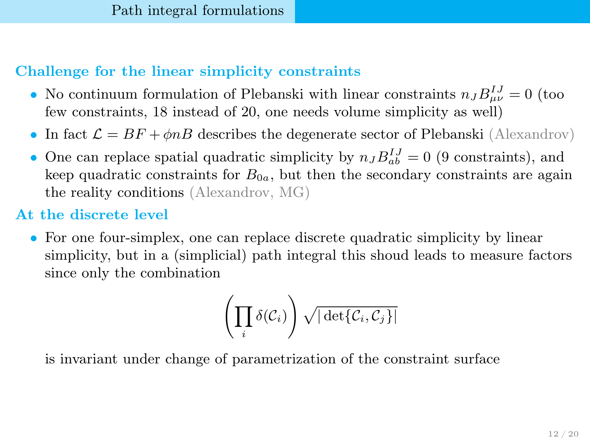# Challenge for the linear simplicity constraints

- No continuum formulation of Plebanski with linear constraints  $n_J B_{\mu\nu}^{IJ} = 0$  (too few constraints, 18 instead of 20, one needs volume simplicity as well)
- In fact  $\mathcal{L} = BF + \phi nB$  describes the degenerate sector of Plebanski (Alexandrov)
- One can replace spatial quadratic simplicity by  $n_J B_{ab}^{IJ} = 0$  (9 constraints), and keep quadratic constraints for  $B_{0a}$ , but then the secondary constraints are again the reality conditions (Alexandrov, MG)

# At the discrete level

• For one four-simplex, one can replace discrete quadratic simplicity by linear simplicity, but in a (simplicial) path integral this shoud leads to measure factors since only the combination

<span id="page-11-0"></span>
$$
\left(\prod_i \delta(\mathcal{C}_i)\right)\sqrt{|\det\{\mathcal{C}_i,\mathcal{C}_j\}|}
$$

is invariant under change of parametrization of the constraint surface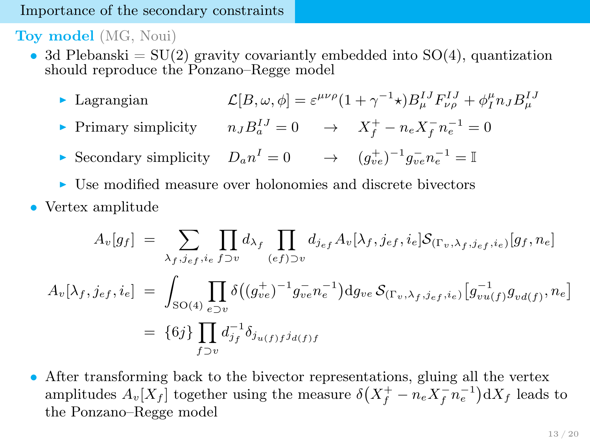#### [Importance of the secondary constraints](#page-12-0)

Toy model (MG, Noui)

- 3d Plebanski =  $SU(2)$  gravity covariantly embedded into  $SO(4)$ , quantization should reproduce the Ponzano–Regge model
	- Lagrangian  $\mathcal{L}[B,\omega,\phi] = \varepsilon^{\mu\nu\rho}(1+\gamma^{-1}\star)B_{\mu}^{IJ}F_{\nu\rho}^{IJ} + \phi_{I}^{\mu}n_{J}B_{\mu}^{IJ}$
	- Finary simplicity  $n_J B_a^{IJ} = 0 \rightarrow X_f^+ n_e X_f^- n_e^{-1} = 0$
	- For Secondary simplicity  $D_a n^I = 0 \rightarrow (g_{ve}^+)^{-1} g_{ve}^- n_e^{-1} = \mathbb{I}$
	- $\triangleright$  Use modified measure over holonomies and discrete bivectors
- Vertex amplitude

$$
A_v[g_f] = \sum_{\lambda_f, j_{ef}, i_e} \prod_{f \supset v} d_{\lambda_f} \prod_{(ef) \supset v} d_{j_{ef}} A_v[\lambda_f, j_{ef}, i_e] \mathcal{S}_{(\Gamma_v, \lambda_f, j_{ef}, i_e)}[g_f, n_e]
$$
  

$$
A_v[\lambda_f, j_{ef}, i_e] = \int_{\text{SO}(4)} \prod_{e \supset v} \delta((g_{ve}^+)^{-1} g_{ve}^- n_e^{-1}) \, \text{d}g_{ve} \, \mathcal{S}_{(\Gamma_v, \lambda_f, j_{ef}, i_e)}[g_{vu(f)}^- g_{vd(f)}, n_e]
$$
  

$$
= \{6j\} \prod_{f \supset v} d_{j_f}^{-1} \delta_{j_{u(f)} f} j_{d(f)f}
$$

<span id="page-12-0"></span>• After transforming back to the bivector representations, gluing all the vertex amplitudes  $A_v[X_f]$  together using the measure  $\delta(X_f^+ - n_e X_f^- n_e^{-1}) dX_f$  leads to the Ponzano–Regge model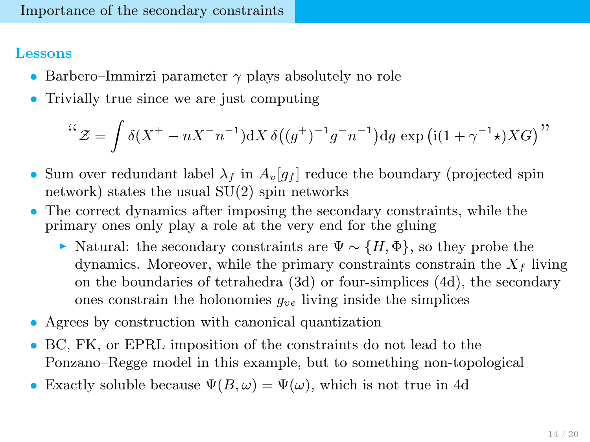### Lessons

- Barbero–Immirzi parameter  $\gamma$  plays absolutely no role
- Trivially true since we are just computing

$$
``\mathcal{Z} = \int \delta(X^+ - nX^-n^{-1}) dX \delta((g^+)^{-1}g^-n^{-1}) dg \exp(i(1+\gamma^{-1}\star)XG)"
$$

- Sum over redundant label  $\lambda_f$  in  $A_v|g_f|$  reduce the boundary (projected spin network) states the usual SU(2) spin networks
- The correct dynamics after imposing the secondary constraints, while the primary ones only play a role at the very end for the gluing
	- $\triangleright$  Natural: the secondary constraints are  $\Psi \sim \{H, \Phi\}$ , so they probe the dynamics. Moreover, while the primary constraints constrain the  $X_f$  living on the boundaries of tetrahedra (3d) or four-simplices (4d), the secondary ones constrain the holonomies  $q_{ve}$  living inside the simplices
- Agrees by construction with canonical quantization
- BC, FK, or EPRL imposition of the constraints do not lead to the Ponzano–Regge model in this example, but to something non-topological
- <span id="page-13-0"></span>• Exactly soluble because  $\Psi(B,\omega) = \Psi(\omega)$ , which is not true in 4d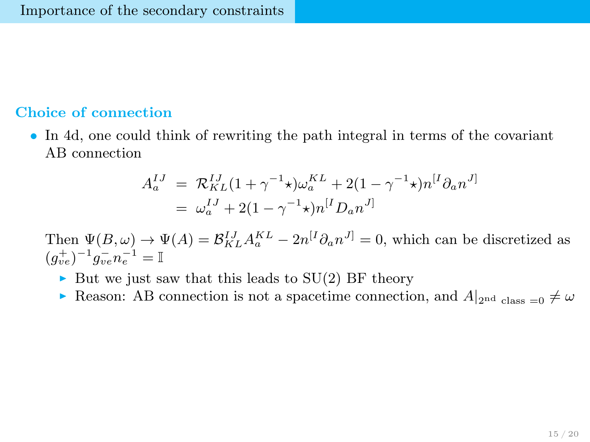### Choice of connection

• In 4d, one could think of rewriting the path integral in terms of the covariant AB connection

<span id="page-14-0"></span>
$$
A_a^{IJ} = \mathcal{R}_{KL}^{IJ} (1 + \gamma^{-1} \star) \omega_a^{KL} + 2(1 - \gamma^{-1} \star) n^{[I} \partial_a n^{J]}
$$
  
=  $\omega_a^{IJ} + 2(1 - \gamma^{-1} \star) n^{[I} D_a n^{J]}$ 

Then  $\Psi(B,\omega) \to \Psi(A) = \mathcal{B}_{KL}^{IJ} A_a^{KL} - 2n^{[I} \partial_a n^{J]} = 0$ , which can be discretized as  $(g_{ve}^+)^{-1} g_{ve}^- n_e^{-1} = \mathbb{I}$ 

- In But we just saw that this leads to  $SU(2)$  BF theory
- **Reason:** AB connection is not a spacetime connection, and  $A|_{2nd \text{ class } = 0} \neq \omega$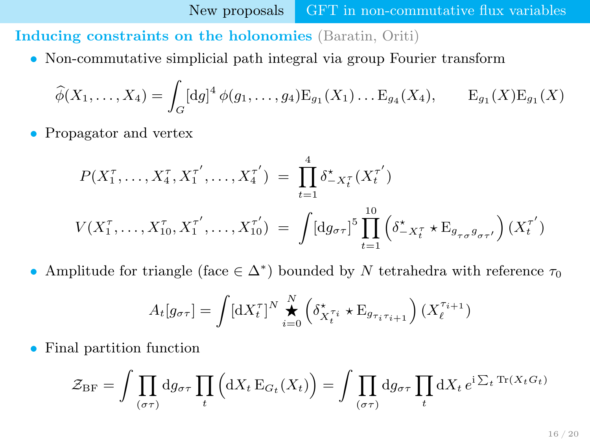Inducing constraints on the holonomies (Baratin, Oriti)

• Non-commutative simplicial path integral via group Fourier transform

$$
\widehat{\phi}(X_1,\ldots,X_4) = \int_G [dg]^4 \, \phi(g_1,\ldots,g_4) E_{g_1}(X_1) \ldots E_{g_4}(X_4), \qquad E_{g_1}(X) E_{g_1}(X)
$$

• Propagator and vertex

$$
P(X_1^{\tau}, \dots, X_4^{\tau}, X_1^{\tau'}, \dots, X_4^{\tau'}) = \prod_{t=1}^4 \delta_{-X_t^{\tau}}^{\star}(X_t^{\tau'})
$$
  

$$
V(X_1^{\tau}, \dots, X_{10}^{\tau}, X_1^{\tau'}, \dots, X_{10}^{\tau'}) = \int [dg_{\sigma\tau}]^5 \prod_{t=1}^{10} \left( \delta_{-X_t^{\tau}}^{\star} \star E_{g_{\tau\sigma}g_{\sigma\tau'}} \right) (X_t^{\tau'})
$$

• Amplitude for triangle (face  $\in \Delta^*$ ) bounded by N tetrahedra with reference  $\tau_0$ 

<span id="page-15-0"></span>
$$
A_t[g_{\sigma\tau}] = \int [\mathrm{d}X_t^{\tau}]^N \bigoplus_{i=0}^N \left( \delta_{X_t^{\tau_i}}^{\star} \star \mathrm{E}_{g_{\tau_i \tau_{i+1}}} \right) (X_t^{\tau_{i+1}})
$$

• Final partition function

$$
\mathcal{Z}_{\rm BF} = \int \prod_{(\sigma\tau)} \mathrm{d}g_{\sigma\tau} \prod_t \Big( \mathrm{d}X_t \, \mathcal{E}_{G_t}(X_t) \Big) = \int \prod_{(\sigma\tau)} \mathrm{d}g_{\sigma\tau} \prod_t \mathrm{d}X_t \, e^{i \sum_t \mathrm{Tr}(X_t G_t)}
$$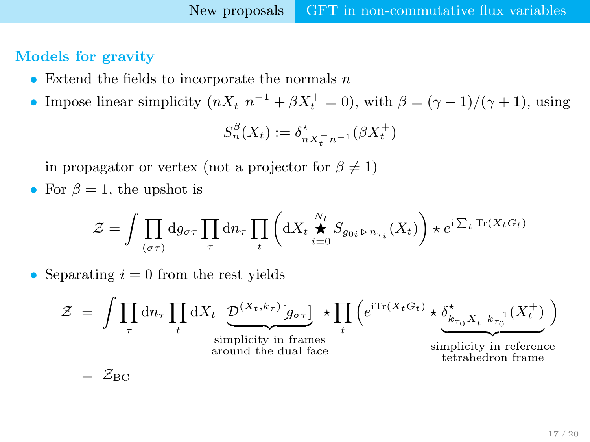## Models for gravity

- Extend the fields to incorporate the normals  $n$
- Impose linear simplicity  $(nX_t^- n^{-1} + \beta X_t^+ = 0)$ , with  $\beta = (\gamma 1)/(\gamma + 1)$ , using

<span id="page-16-0"></span>
$$
S_n^{\beta}(X_t) := \delta_{nX_t^- n^{-1}}^{\star}(\beta X_t^+)
$$

in propagator or vertex (not a projector for  $\beta \neq 1$ )

• For  $\beta = 1$ , the upshot is

$$
\mathcal{Z} = \int \prod_{(\sigma\tau)} \mathrm{d} g_{\sigma\tau} \prod_\tau \mathrm{d} n_\tau \prod_t \left( \mathrm{d} X_t \overset{N_t}{\underset{i=0}{\bigstar}} S_{g_{0i}\rhd n_{\tau_i}}(X_t) \right) \star e^{i \sum_t \mathrm{Tr}(X_t G_t)}
$$

• Separating  $i = 0$  from the rest yields

$$
\mathcal{Z} = \int \prod_{\tau} d n_{\tau} \prod_{t} d X_{t} \underbrace{\mathcal{D}^{(X_{t},k_{\tau})}[g_{\sigma\tau}]}_{\text{simplicity in frames}} \star \prod_{t} \left( e^{i \text{Tr}(X_{t}G_{t})} \star \underbrace{\delta_{k_{\tau_{0}} X_{t}^{-} k_{\tau_{0}}^{-1}}^{*}(X_{t}^{+})}_{\text{simplicity in reference} \atop \text{tetrahedron frame}} \right)
$$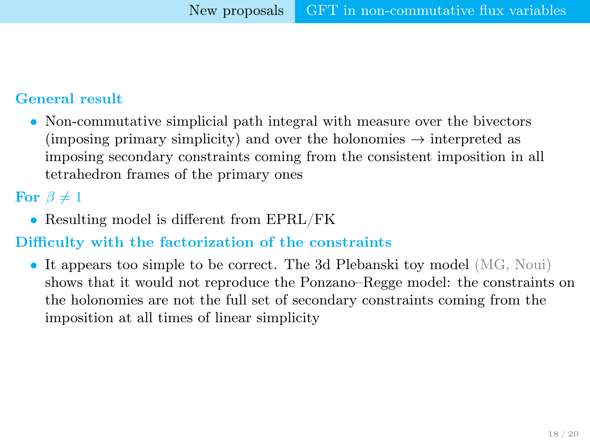## General result

• Non-commutative simplicial path integral with measure over the bivectors (imposing primary simplicity) and over the holonomies  $\rightarrow$  interpreted as imposing secondary constraints coming from the consistent imposition in all tetrahedron frames of the primary ones

For  $\beta \neq 1$ 

• Resulting model is different from EPRL/FK

## Difficulty with the factorization of the constraints

<span id="page-17-0"></span>• It appears too simple to be correct. The 3d Plebanski toy model (MG, Noui) shows that it would not reproduce the Ponzano–Regge model: the constraints on the holonomies are not the full set of secondary constraints coming from the imposition at all times of linear simplicity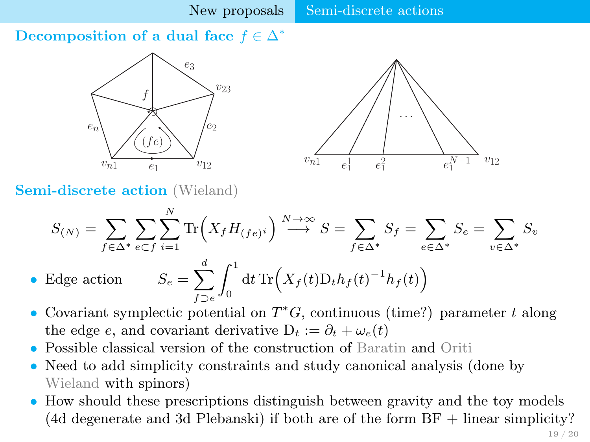Decomposition of a dual face  $f \in \Delta^*$ 



<span id="page-18-0"></span>

Semi-discrete action (Wieland)

$$
S_{(N)} = \sum_{f \in \Delta^*} \sum_{e \subset f} \sum_{i=1}^N \text{Tr}\Big(X_f H_{(fe)^i}\Big) \stackrel{N \to \infty}{\longrightarrow} S = \sum_{f \in \Delta^*} S_f = \sum_{e \in \Delta^*} S_e = \sum_{v \in \Delta^*} S_v
$$
  
Edge action 
$$
S_e = \sum_{e \subset f} \int \frac{1}{\det \text{Tr}\Big(X_f(t) D_t h_f(t)^{-1} h_f(t)\Big)}
$$

- Edge action f⊃e  $\int_0^\infty \mathrm{d} t \, \text{Tr}\Bigl(X_f(t) \mathrm{D}_t h_f(t)^{-1} h_f(t)\Bigr)$
- Covariant symplectic potential on  $T^*G$ , continuous (time?) parameter t along the edge e, and covariant derivative  $D_t := \partial_t + \omega_e(t)$
- Possible classical version of the construction of Baratin and Oriti
- Need to add simplicity constraints and study canonical analysis (done by Wieland with spinors)
- How should these prescriptions distinguish between gravity and the toy models (4d degenerate and 3d Plebanski) if both are of the form  $BF + linear$  simplicity?